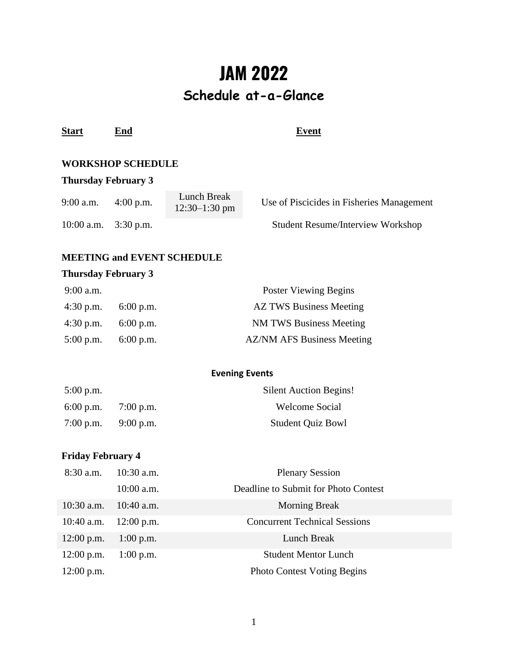# **JAM 2022 Schedule at-a-Glance**

| <b>Start</b> | End | Event |
|--------------|-----|-------|
|--------------|-----|-------|

# **WORKSHOP SCHEDULE**

# **Thursday February 3**

| $9:00$ a.m.  | $4:00$ p.m. | Lunch Break<br>$12:30-1:30$ pm | Use of Piscicides in Fisheries Management |
|--------------|-------------|--------------------------------|-------------------------------------------|
| $10:00$ a.m. | $3:30$ p.m. |                                | <b>Student Resume/Interview Workshop</b>  |

#### **MEETING and EVENT SCHEDULE**

### **Thursday February 3**

| $9:00$ a.m. |                       | Poster Viewing Begins             |
|-------------|-----------------------|-----------------------------------|
|             | 4:30 p.m. $6:00$ p.m. | <b>AZ TWS Business Meeting</b>    |
| $4:30$ p.m. | $6:00$ p.m.           | <b>NM TWS Business Meeting</b>    |
| $5:00$ p.m. | $6:00$ p.m.           | <b>AZ/NM AFS Business Meeting</b> |

#### **Evening Events**

| $5:00$ p.m. |             | <b>Silent Auction Begins!</b> |
|-------------|-------------|-------------------------------|
| $6:00$ p.m. | $7:00$ p.m. | <b>Welcome Social</b>         |
| $7:00$ p.m. | $9:00$ p.m. | <b>Student Quiz Bowl</b>      |

# **Friday February 4**

| $8:30$ a.m.  | $10:30$ a.m. | <b>Plenary Session</b>               |
|--------------|--------------|--------------------------------------|
|              | $10:00$ a.m. | Deadline to Submit for Photo Contest |
| $10:30$ a.m. | $10:40$ a.m. | <b>Morning Break</b>                 |
| $10:40$ a.m. | $12:00$ p.m. | <b>Concurrent Technical Sessions</b> |
| $12:00$ p.m. | $1:00$ p.m.  | Lunch Break                          |
| $12:00$ p.m. | $1:00$ p.m.  | <b>Student Mentor Lunch</b>          |
| $12:00$ p.m. |              | <b>Photo Contest Voting Begins</b>   |